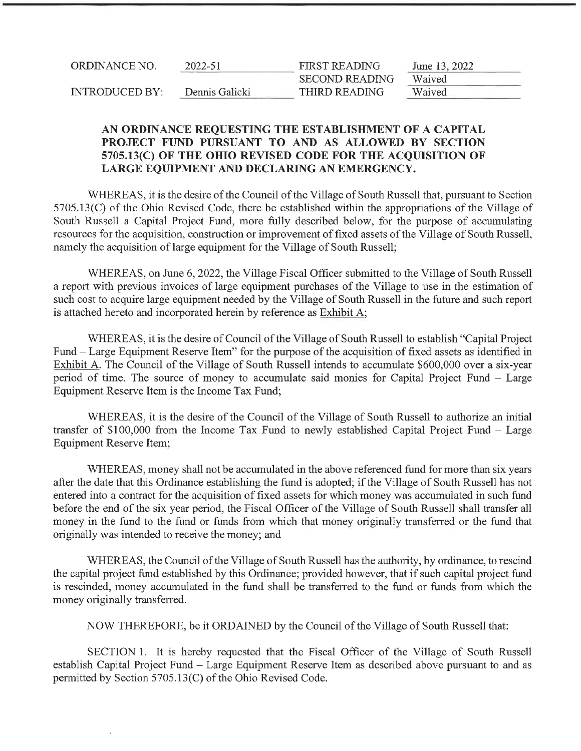| ORDINANCE NO.         | 2022-51        | <b>FIRST READING</b>  | June 13, 2022 |
|-----------------------|----------------|-----------------------|---------------|
|                       |                | <b>SECOND READING</b> | Waived        |
| <b>INTRODUCED BY:</b> | Dennis Galicki | THIRD READING         | Waived        |

#### AN ORDINANCE REQUESTING THE ESTABLISHMENT OF A CAPITAL PROJECT FUND PURSUANT TO AND AS ALLOWED BY SECTION 5705.13(C) OF THE OHIO REVISED CODE FOR THE ACOUISITION OF LARGE EQUIPMENT AND DECLARING AN EMERGENCY.

WHEREAS, it is the desire of the Council of the Village of South Russell that, pursuant to Section 5705.13(C) of the Ohio Revised Code, there be established within the appropriations of the Village of South Russell a Capital Project Fund, more fully described below, for the purpose of accumulating resources for the acquisition, construction or improvement affixed assets of the Village of South Russell, namely the acquisition of large equipment for the Village of South Russell;

WHEREAS, on June 6, 2022, the Village Fiscal Officer submitted to the Village of South Russell a report with previous invoices of large equipment purchases of the Village to use in the estimation of such cost to acquire large equipment needed by the Village of South Russell in the future and such report is attached hereto and incorporated herein by reference as Exhibit A;

WHEREAS, it is the desire of Council of the Village of South Russell to establish "Capital Project Fund - Large Equipment Reserve Item" for the purpose of the acquisition of fixed assets as identified in Exhibit A. The Council of the Village of South Russell intends to accumulate \$600,000 over a six-year period of time. The source of money to accumulate said monies for Capital Project Fund - Large Equipment Reserve Item is the Income Tax Fund;

WHEREAS, it is the desire of the Council of the Village of South Russell to authorize an initial transfer of \$100,000 from the Income Tax Fund to newly established Capital Project Fund - Large Equipment Reserve Item;

WHEREAS, money shall not be accumulated in the above referenced fund for more than six years after the date that this Ordinance establishing the fund is adopted; if the Village of South Russell has not entered into a contract for the acquisition affixed assets for which money was accumulated in such fund before the end of the six year period, the Fiscal Officer of the Village of South Russell shall transfer all money in the fund to the fund or funds from which that money originally transferred or the fund that originally was intended to receive the money; and

WHEREAS, the Council of the Village of South Russell has the authority, by ordinance, to rescind the capital project fund established by this Ordinance; provided however, that if such capital project fund is rescinded, money accumulated in the fund shall be transferred to the fimd or funds from which the money originally transferred.

NOW THEREFORE, be it ORDAINED by the Council of the Village of South Russell that:

SECTION 1. It is hereby requested that the Fiscal Officer of the Village of South Russell establish Capital Project Fund - Large Equipment Reserve Item as described above pursuant to and as permitted by Section 5705.13(C) of the Ohio Revised Code.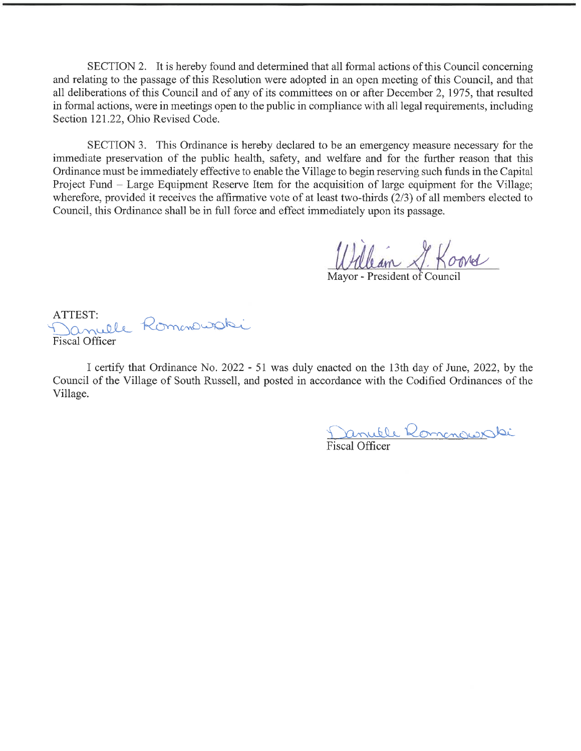SECTION 2. It is hereby found and determined that all formal actions of this Council concerning and relating to the passage of this Resolution were adopted in an open meeting of this Council, and that all deliberations of this Council and of any of its committees on or after December 2, 1975, that resulted in formal actions, were in meetings open to the public in compliance with all legal requirements, including Section 121.22, Ohio Revised Code.

SECTION 3. This Ordinance is hereby declared to be an emergency measure necessary for the immediate preservation of the public health, safety, and welfare and for the further reason that this Ordinance must be immediately effective to enable the Village to begin reserving such funds in the Capital Project Fund - Large Equipment Reserve Item for the acquisition of large equipment for the Village; wherefore, provided it receives the affirmative vote of at least two-thirds (2/3) of all members elected to Council, this Ordinance shall be in full force and effect immediately upon its passage.

William S. Koord

Mayor - President of Council

ATTEST: Januelle Romanousski Fiscal Officer

I certify that Ordinance No. 2022 - 51 was duly enacted on the 13th day of June, 2022, by the Council of the Village of South Russell, and posted in accordance with the Codified Ordinances of the Village.

Danuele Romanowak Fiscal Officer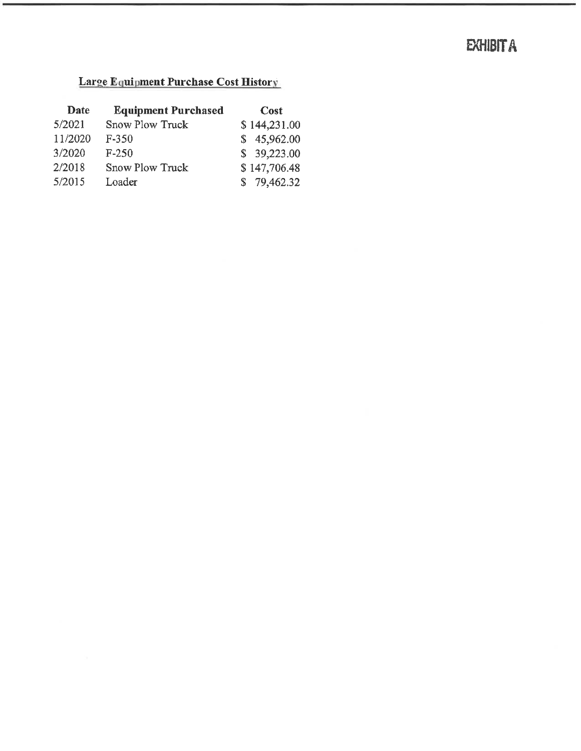# **EXHIBIT A**

#### Large Equipment Purchase Cost History

| Date    | <b>Equipment Purchased</b> | <b>Cost</b>  |
|---------|----------------------------|--------------|
| 5/2021  | <b>Snow Plow Truck</b>     | \$144,231.00 |
| 11/2020 | $F-350$                    | \$45,962.00  |
| 3/2020  | $F-250$                    | \$39,223.00  |
| 2/2018  | <b>Snow Plow Truck</b>     | \$147,706.48 |
| 5/2015  | Loader                     | \$79,462.32  |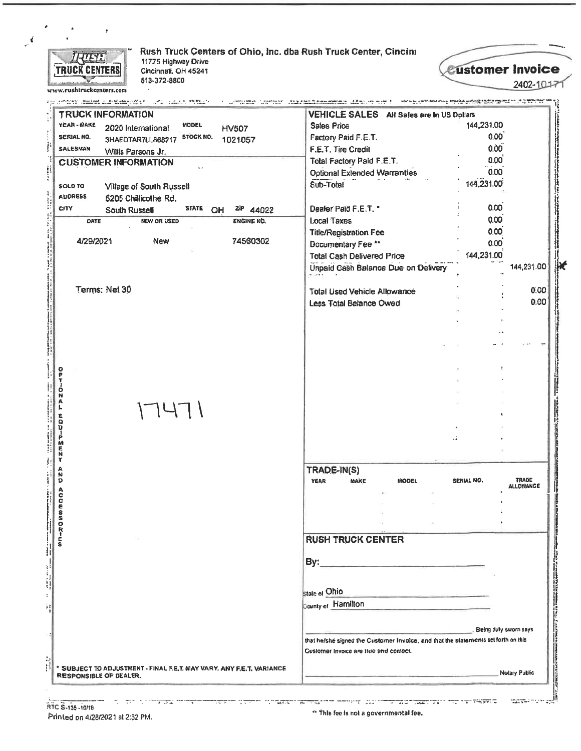

Rush Truck Centers of Ohio, Inc. dba Rush Truck Center, Cincini 11775 Highway Drive Cincinnali, OH 45241 513-372-8800

*<u>Eustomer Invoice</u>* 2402-10171

**SERVICE CONTROL** 

<u> המקומים המיליה למיין</u>

www.rushtruckcenters.com ia provinciano (despoluzione) con al partello della capitalità del componento del contra del dell'Alfabeto de<br>La construzione del manufazione di manufazione del partello del control del componento del controlle del compo a a construction of the company of the second company of the company of the construction of the construction of Not to be applications of the associated and support the company of the second TRUCK INFORMATION VEHICLE SALES All Sales are in US Dollars YEAR - MAKE **MODEL Sales Price** 144,231.00 2020 International **HV507**  $0.00$ SERIAL NO. 3HAEDTAR7LL868217 STOCK NO. Factory Paid F.E.T. 1021057 SALESMAN  $0.00$ F.E.T. Tire Credit Willis Parsons Jr.  $0.00$ Total Factory Paid F.E.T. **CUSTOMER INFORMATION**  $0.00$ **Optional Extended Warranties** 144,231.00 Sub-Total SOLD TO Village of South Russell **ADDRESS** 5205 Chillicothe Rd. **CITY** Dealer Paid F.E.T. \*  $0.00$ **STATE** <sup>zip</sup> 44022 South Russell OH  $0.00$ DATE **NEW OR USED** ENGINE NO. **Local Taxes**  $0.00$ **Title/Registration Fee** 4/29/2021 74560302 New  $0.00$ Documentary Fee \*\* 144,231.00 **Total Cash Delivered Price** Unpaid Cash Balance Due on Delivery 144,231.00 Terms: Net 30  $0.00$ **Total Used Vehicle Allowance** 0.00 Less Total Balance Owed OPTIONAL  $17471$ 1257-02 TRADE-IN(S) **AzD** TRADE<br>ALLOWANCE **YEAR** MAKE **MODEL SERIAL NO. ACCESSORIES RUSH TRUCK CENTER** By: State of Ohio **County of Hamilton** Being duly sworn says that he/she signed the Customer Invoice, and that the statements set forth on this Customer Invoice are true and correct. \* SUBJECT TO ADJUSTMENT - FINAL F.E.T. MAY VARY. ANY F.E.T. VARIANCE **Notary Public** RESPONSIBLE OF DEALER.

ವರ್ಸನ್ ÷ and program to communicate the communication of the communication of the communication of the communication of<br>The communication of the communication of the communication of the communication of the communication of the c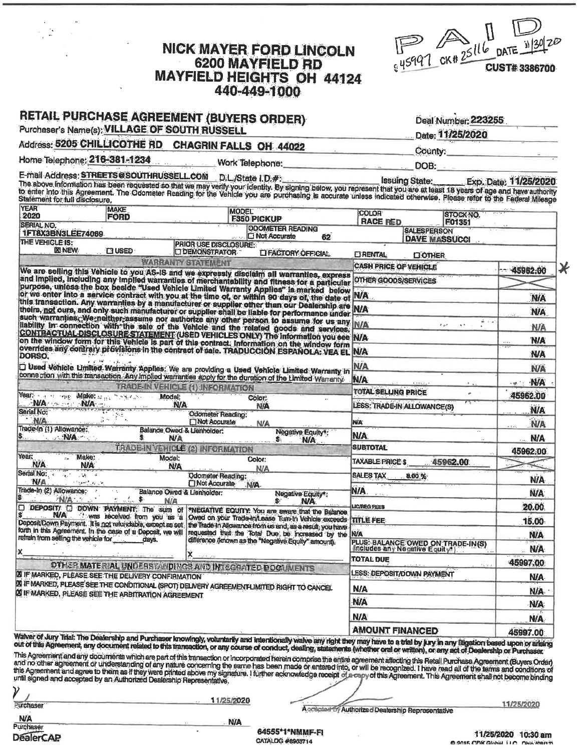| <b>NICK MAYER FORD LINCOLN</b> |
|--------------------------------|
| <b>6200 MAYFIELD RD</b>        |
| MAYFIELD HEIGHTS OH 44124      |
| 440-449-1000                   |



| Purchaser's Name(s); VILLAGE OF SOUTH RUSSELL<br>Address: 5205 CHILLICOTHE RD CHAGRIN FALLS OH 44022                                                                                                                                                                                                                                                                                                                                        |                                                         |                                          |                                                                                              |    |                                                                     | Date: 11/25/2020                                  |                        |
|---------------------------------------------------------------------------------------------------------------------------------------------------------------------------------------------------------------------------------------------------------------------------------------------------------------------------------------------------------------------------------------------------------------------------------------------|---------------------------------------------------------|------------------------------------------|----------------------------------------------------------------------------------------------|----|---------------------------------------------------------------------|---------------------------------------------------|------------------------|
| Home Telephone: 216-381-1234                                                                                                                                                                                                                                                                                                                                                                                                                |                                                         |                                          |                                                                                              |    |                                                                     | County:                                           |                        |
|                                                                                                                                                                                                                                                                                                                                                                                                                                             |                                                         | Work Telephone:                          |                                                                                              |    | and the company of the company of the company of                    | <b>DOB:</b>                                       |                        |
| E-mail Address: STREETS@SOUTHRUSSELL.COM D.L./State I.D.#:<br>The above information has been requested so that we may verify your identity. By signing below, you represent that you are at least 18 years of age and have authority<br>to enter into this Agreement. The Odometer Reading for the Vehicle you are purchasing is accurate unless indicated otherwise. Please refer to the Federal Mileage<br>Statement for full disclosure, |                                                         |                                          |                                                                                              |    | Issuing State: Exp. Date: 11/25/2020                                |                                                   |                        |
| <b>YEAR</b><br>2020                                                                                                                                                                                                                                                                                                                                                                                                                         | <b>MAKE</b><br><b>FORD</b>                              | <b>MODEL</b>                             | F350 PICKUP                                                                                  |    | COLOR                                                               | <b>STOCK NO.</b>                                  |                        |
| <b>SERIAL NO.</b>                                                                                                                                                                                                                                                                                                                                                                                                                           |                                                         |                                          | <b>ODOMETER READING</b>                                                                      |    | <b>RACE RED</b><br><b>SALESPERSON</b>                               | F01351                                            |                        |
| 1FT8X3BN3LEE74069<br>THE VEHICLE IS:                                                                                                                                                                                                                                                                                                                                                                                                        |                                                         | <b>PRIOR USE DISCLOSURE:</b>             | O Not Accurate                                                                               | 62 |                                                                     | <b>DAVE MASSUCCI</b>                              |                        |
| <b>XI NEW</b>                                                                                                                                                                                                                                                                                                                                                                                                                               | <b>ET USED</b>                                          | <b>COEMONSTRATOR</b>                     | LI FACTORY OFFICIAL                                                                          |    | <b>ET RENTAL</b><br><b>COTHER</b>                                   |                                                   |                        |
|                                                                                                                                                                                                                                                                                                                                                                                                                                             |                                                         | <b>WARRANTY STATEMENT</b>                |                                                                                              |    | <b>CASH PRICE OF VEHICLE</b>                                        |                                                   | 45962.00               |
| We are selling this Vehicle to you AS-IS and we expressly disclaim all warranties, express<br>and implied, including any implied warranties of merchantability and fitness for a particular                                                                                                                                                                                                                                                 |                                                         |                                          |                                                                                              |    | <b>OTHER GOODS/SERVICES</b>                                         |                                                   |                        |
| purpose, unless the box beside "Used Vehicle Limited Warranty Applies" is marked below<br>or we enter into a service contract with you at the time of, or within 90 days of, the date of                                                                                                                                                                                                                                                    |                                                         |                                          |                                                                                              |    | N/A                                                                 |                                                   | <b>N/A</b>             |
| this transaction. Any warranties by a manufacturer or supplier other than our Dealership are N/A<br>theirs, not ours, and only such manufacturer or supplier shall be liable for performance under IV.                                                                                                                                                                                                                                      |                                                         |                                          |                                                                                              |    |                                                                     |                                                   | <b>N/A</b>             |
| such warranties. We neither assume nor authorize any other person to assume for us any N/A                                                                                                                                                                                                                                                                                                                                                  |                                                         |                                          |                                                                                              |    |                                                                     | $4.1 - 4.7$<br>$\mathcal{F}(\mathfrak{g},\sigma)$ |                        |
| liability in connection with the sale of the Vehicle and the related goods and services.<br>CONTRACTUAL DISCLOSURE STATEMENT (USED VEHICLES ONLY) The information you see N/A                                                                                                                                                                                                                                                               |                                                         |                                          |                                                                                              |    |                                                                     |                                                   | NIA                    |
| overrides any contrary provisions in the contract of sale. TRADUCCION ESPANOLA: VEA EL NVA                                                                                                                                                                                                                                                                                                                                                  |                                                         |                                          |                                                                                              |    |                                                                     |                                                   | <b>N/A</b>             |
| <b>DORSO.</b>                                                                                                                                                                                                                                                                                                                                                                                                                               |                                                         |                                          |                                                                                              |    |                                                                     |                                                   | <b>N/A</b>             |
| Used Vehicle Limited Warranty Applies. We are providing a Used Vehicle Limited Warranty in<br>connection with this transaction. Any implied warranties apply for the duration of the Limited Warranty.                                                                                                                                                                                                                                      |                                                         |                                          |                                                                                              |    | <b>N/A</b>                                                          |                                                   | <b>N/A</b>             |
|                                                                                                                                                                                                                                                                                                                                                                                                                                             | <b>TRADE-IN VEHICLE (1) INFORMATION</b>                 |                                          |                                                                                              |    | <b>N/A</b>                                                          |                                                   | <b>N/A</b><br>ord, the |
| Year: The main Make: Jan. Mostan.                                                                                                                                                                                                                                                                                                                                                                                                           | Model:<br><b>N/A</b>                                    |                                          | Color:                                                                                       |    | <b>TOTAL SELLING PRICE</b>                                          | ¥.<br>स्ट                                         | 45962.00               |
| WA NA<br>Serial No:                                                                                                                                                                                                                                                                                                                                                                                                                         |                                                         | Odometer Reading:                        | N/A                                                                                          |    | LESS: TRADE-IN ALLOWANCE(S)                                         |                                                   | <b>N/A</b>             |
| N/A<br>Trade-In (1) Allowance:                                                                                                                                                                                                                                                                                                                                                                                                              | Balance Owed & Lienholder:                              | Not Accurate                             | <b>N/A</b>                                                                                   |    | N/A                                                                 |                                                   | N/A                    |
|                                                                                                                                                                                                                                                                                                                                                                                                                                             | <b>N/A</b>                                              |                                          | Negative Equity*:<br>\$.<br><b>N/A</b>                                                       |    | N/A.                                                                |                                                   | <b>N/A</b>             |
| Year:<br>Make:                                                                                                                                                                                                                                                                                                                                                                                                                              | TRADE-IN VEHICLE (2) INFORMATION                        |                                          |                                                                                              |    | <b>SUBTOTAL</b>                                                     |                                                   | 45962,00               |
| N/A<br>N/A                                                                                                                                                                                                                                                                                                                                                                                                                                  | Model:<br><b>N/A</b>                                    |                                          | Color:<br><b>N/A</b>                                                                         |    | <b>TAXABLE PRICES</b>                                               | 45962.00                                          |                        |
| Serial No:<br><b>N/A</b><br>يعن بهرج سوودات                                                                                                                                                                                                                                                                                                                                                                                                 |                                                         | <b>Odometer Reading:</b><br>Not Accurate | <b>N/A</b>                                                                                   |    | <b>SALES TAX</b><br>8.00%                                           |                                                   | <b>N/A</b>             |
| Trade-In (2) Allowance:<br>$\sim$ $\lesssim$                                                                                                                                                                                                                                                                                                                                                                                                | Balance Owed & Lienholder:                              |                                          | Negative Equity*:                                                                            |    | N/A                                                                 |                                                   | <b>N/A</b>             |
| <b>N/A</b><br>DEPOSIT/ I DOWN PAYMENT: The sum of WEGATIVE EQUITY You are aware that the Balance.                                                                                                                                                                                                                                                                                                                                           | . l. \$<br>N/A                                          |                                          | S.<br>N/A.                                                                                   |    | <b>LIC/REG FEES</b>                                                 |                                                   | 20.00                  |
|                                                                                                                                                                                                                                                                                                                                                                                                                                             |                                                         |                                          | N/A was received from you as a Owed on your Trade-In/Lease Turn in Vehicle exceeds TITLE FEE |    |                                                                     |                                                   | 15.00                  |
| Deposit/Down Payment. It is not refundable, except as set. the Trade in Allowance from us and, as a result, you have<br>forth in this Agreement. In the case of a Deposit, we will requested that the Total Due, be increased by the NVA                                                                                                                                                                                                    |                                                         |                                          |                                                                                              |    |                                                                     |                                                   | <b>N/A</b>             |
| refrain from setting the vehicle for                                                                                                                                                                                                                                                                                                                                                                                                        | days.                                                   |                                          | difference (known as the "Negative Equity" amount).                                          |    | PLUS: BALANCE OWED ON TRADE-IN(S)<br>(Includes any Negative Equity) |                                                   | <b>N/A</b>             |
|                                                                                                                                                                                                                                                                                                                                                                                                                                             |                                                         |                                          |                                                                                              |    | <b>TOTAL DUE</b>                                                    |                                                   | 45997.00               |
|                                                                                                                                                                                                                                                                                                                                                                                                                                             | OTHER MATERIAL UNDERSTANDINGS AND INTEGRATED DOGLINENTS |                                          |                                                                                              |    | LESS: DEPOSIT/DOWN PAYMENT                                          |                                                   | <b>N/A</b>             |
|                                                                                                                                                                                                                                                                                                                                                                                                                                             |                                                         |                                          |                                                                                              |    | <b>N/A</b>                                                          |                                                   |                        |
|                                                                                                                                                                                                                                                                                                                                                                                                                                             |                                                         |                                          |                                                                                              |    | <b>N/A</b>                                                          |                                                   | N/A                    |
|                                                                                                                                                                                                                                                                                                                                                                                                                                             |                                                         |                                          |                                                                                              |    |                                                                     |                                                   | <b>N/A</b>             |
|                                                                                                                                                                                                                                                                                                                                                                                                                                             |                                                         |                                          |                                                                                              |    |                                                                     |                                                   |                        |
| <b>24 IF MARKED, PLEASE SEE THE DELIVERY CONFIRMATION</b><br><b>DI IF MARKED, PLEASE SEE THE CONDITIONAL (SPOT) DELIVERY AGREEMENT LIMITED RIGHT TO CANCEL</b><br><b>20 IF MARKED, PLEASE SEE THE ARBITRATION AGREEMENT</b>                                                                                                                                                                                                                 |                                                         |                                          |                                                                                              |    | <b>N/A</b><br><b>AMOUNT FINANCED</b>                                |                                                   | N/A<br>45997.00        |

| rurcnaser |  |
|-----------|--|
|           |  |
| NА        |  |
| Purchaser |  |

**DealerCAP** 

 $\begin{array}{ccccc} & & & & & & \\ \hline & & & & & & \\ \hline & & & & & & \\ \end{array}$ 

1/25/2020

Accepted by Authorized Dealership Representative

 $\overline{\mathcal{L}}$ 

11/25/2020

**N/A** 64555\*1\*NMMF-FI CATALOG #8963714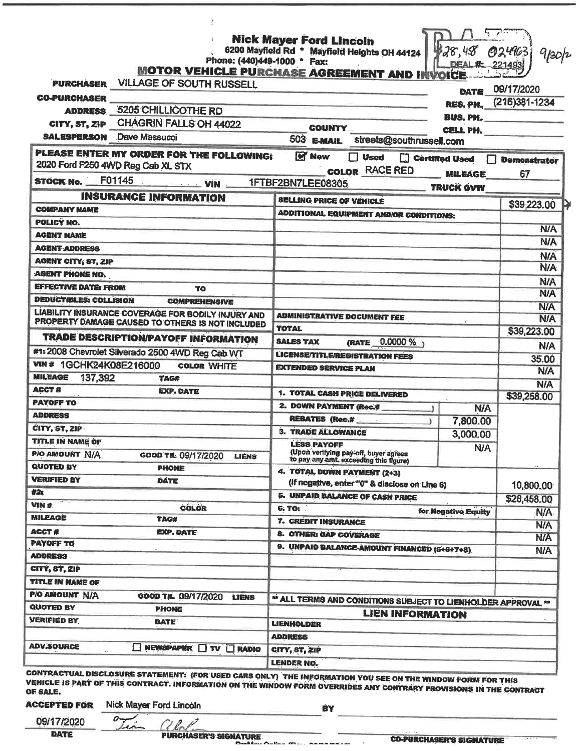| <b>VILLAGE OF SOUTH RUSSELL</b><br>PURCHASER<br><b>CO-PURCHASER</b>           | <b>MOTOR VEHICLE PURCHASE AGREEMENT AND INVOICE</b>                                                   | DEAL E.             | 024963<br>gpop<br>221493  |
|-------------------------------------------------------------------------------|-------------------------------------------------------------------------------------------------------|---------------------|---------------------------|
|                                                                               |                                                                                                       | DATE                | 09/17/2020                |
|                                                                               |                                                                                                       | RES. PH.            | $(216)381 - 1234$         |
| <b>ADDRESS 5205 CHILLICOTHE RD</b>                                            |                                                                                                       |                     |                           |
| <b>CHAGRIN FALLS OH 44022</b><br>CITY, ST, ZIP                                | <b>COUNTY</b>                                                                                         | <b>BUS, PH.</b>     |                           |
| <b>SALESPERSON</b> Dave Massucci                                              | 503 E-MAIL<br>streets@southrussell.com                                                                | <b>CELL PH.</b>     |                           |
| PLEASE ENTER MY ORDER FOR THE FOLLOWING:<br>2020 Ford F250 4WD Reg Cab XL STX | <b>M</b> New<br>٦<br><b>Used</b><br>Certified Used<br><b>COLOR RACE RED</b>                           | <b>MILEAGE</b>      | <b>Demonstrator</b><br>67 |
| F01145<br><b>STOCK No.</b><br>$\frac{1}{2}$ VIN                               | 1FTBF2BN7LEE08305                                                                                     |                     |                           |
| <b>INSURANCE INFORMATION</b>                                                  |                                                                                                       | <b>TRUCK GVW</b>    |                           |
| <b>COMPANY NAME</b>                                                           | <b>SELLING PRICE OF VEHICLE</b>                                                                       |                     | \$39,223.00               |
| POLICY NO.                                                                    | <b>ADDITIONAL EQUIPMENT AND/OR CONDITIONS:</b>                                                        |                     |                           |
| <b>AGENT NAME</b>                                                             |                                                                                                       |                     | <b>N/A</b>                |
| <b>AGENT ADDRESS</b>                                                          |                                                                                                       |                     | <b>N/A</b>                |
| <b>AGENT CITY; ST, ZIP</b>                                                    |                                                                                                       |                     | <b>N/A</b>                |
| <b>AGENT PHONE NO.</b>                                                        |                                                                                                       |                     | N/A                       |
| <b>EFFECTIVE DATE: FROM</b><br>TO                                             |                                                                                                       |                     | <b>N/A</b>                |
| <b>DEDUCTIBLES: COLLISION</b><br><b>COMPREHENSIVE</b>                         |                                                                                                       |                     | <b>N/A</b>                |
| LIABILITY INSURANCE COVERAGE FOR BODILY INJURY AND                            |                                                                                                       |                     | <b>N/A</b>                |
| PROPERTY DAMAGE CAUSED TO OTHERS IS NOT INCLUDED                              | <b>ADMINISTRATIVE DOCUMENT FEE</b>                                                                    |                     | <b>N/A</b>                |
| <b>TRADE DESCRIPTION/PAYOFF INFORMATION</b>                                   | <b>TOTAL</b>                                                                                          |                     | \$39,223.00               |
| #1:2008 Chevrolet Silverado 2500 4WD Reg Cab WT                               | (RATE 0.0000 %)<br><b>SALES TAX</b>                                                                   |                     | <b>N/A</b>                |
| VIN # 1GCHK24K08E216000                                                       | <b>LICENSE/TITLE/REGISTRATION FEES</b>                                                                |                     | 35.00                     |
| <b>COLOR WHITE</b><br><b>MILEAGE</b>                                          | <b>EXTENDED SERVICE PLAN</b>                                                                          |                     | <b>N/A</b>                |
| 137,392<br><b>TAG#</b><br><b>ACCT #</b>                                       |                                                                                                       |                     | <b>N/A</b>                |
| <b>EXP. DATE</b><br><b>PAYOFF TO</b>                                          | 1. TOTAL CASH PRICE DELIVERED                                                                         |                     | \$39,258.00               |
| <b>ADDRESS</b>                                                                | 2. DOWN PAYMENT (Rec.#                                                                                | <b>N/A</b>          |                           |
| CITY, ST, ZIP                                                                 | <b>REBATES (Rec.#</b>                                                                                 | 7,800.00            |                           |
|                                                                               | <b>3. TRADE ALLOWANCE</b>                                                                             | 3,000.00            |                           |
| TITLE IN NAME OF<br>P/O AMOUNT N/A<br>GOOD TIL 09/17/2020<br><b>LIENS</b>     | <b>LESS PAYOFF</b><br>(Upon verifying pay-off, buyer agrees<br>to pay any amt. exceeding this figure) | N/A                 |                           |
| <b>QUOTED BY</b><br><b>PHONE</b>                                              | 4. TOTAL DOWN PAYMENT (2+3)                                                                           |                     |                           |
| <b>VERIFIED BY</b><br><b>DATE</b>                                             | (If negative, enter "0" & disclose on Line 6)                                                         |                     | 10,800.00                 |
| #2t                                                                           | 5. UNPAID BALANCE OF CASH PRICE                                                                       |                     | \$28,458.00               |
| WIN #<br><b>COLOR</b>                                                         | <b>6. TO:</b>                                                                                         | for Negative Equity | <b>N/A</b>                |
| <b>MILEAGE</b><br>TAG#                                                        | 7. CREDIT INSURANCE                                                                                   |                     | <b>N/A</b>                |
| <b>ACCT#</b><br><b>EXP. DATE</b>                                              | 8. OTHER: GAP COVERAGE                                                                                |                     | <b>N/A</b>                |
| <b>PAYOFF TO</b>                                                              | 9. UNPAID BALANCE-AMOUNT FINANCED (5+6+7+8)                                                           |                     | <b>N/A</b>                |
| <b>ADDRESS</b>                                                                |                                                                                                       |                     |                           |
| CITY, ST, ZIP                                                                 |                                                                                                       |                     |                           |
| TITLE IN NAME OF                                                              |                                                                                                       |                     |                           |
| PIO AMOUNT N/A<br>GOOD TIL 09/17/2020<br><b>LIENS</b>                         | ** ALL TERMS AND CONDITIONS SUBJECT TO LIENHOLDER APPROVAL **                                         |                     |                           |
| <b>QUOTED BY</b><br>PHONE                                                     | <b>LIEN INFORMATION</b>                                                                               |                     |                           |
| <b>VERIFIED BY</b><br><b>DATE</b>                                             | <b>LIENHOLDER</b>                                                                                     |                     |                           |
|                                                                               | <b>ADDRESS</b>                                                                                        |                     |                           |
| <b>ADV.SOURCE</b><br>NEWSPAPER TV RADIO                                       | CITY, ST, ZIP                                                                                         |                     |                           |
|                                                                               |                                                                                                       |                     |                           |

STATEMENT: (FOR USED CARS ONLY) THE INFORMATION YOU SEE ON THE WINDOW FORM FOR THIS VEHICLE IS PART OF THIS CONTRACT. INFORMATION ON THE WINDOW FORM OVERRIDES ANY CONTRARY PROVISIONS IN THE CONTRACT OF SALE.

**ACCEPTED FOR** 

Nick Mayer Ford Lincoln

a

∽

BY

l.

09/17/2020 **DATE** 

*QUELLA*<br>PURCHASER'S SIGNATURE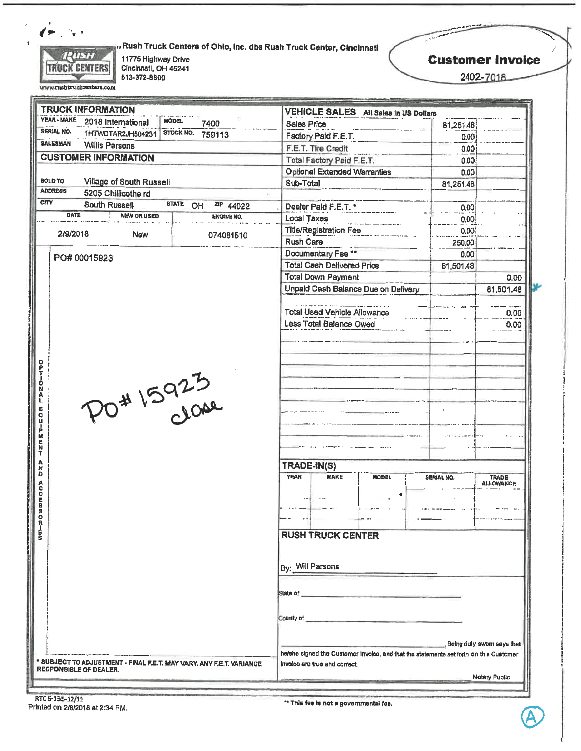

www.rushtruckcenters.com

**"Rush Truck Centers of Ohio, Inc. dba Rush Truck Center, Cincinnati** 

11775 Highway Drive Cincinnati, OH 45241<br>513-372-8800 **Customer Invoice** 

*Comment Pictures* 

فتستعص

2402-7018

| <b>TRUCK INFORMATION</b>                                                                       |                                                                                                                                                                                                                                      |                                                |
|------------------------------------------------------------------------------------------------|--------------------------------------------------------------------------------------------------------------------------------------------------------------------------------------------------------------------------------------|------------------------------------------------|
| YEAR - MAKE<br><b>MODEL</b><br>2018 International<br>7400                                      | VEHICLE SALES All Sales in US Dollars<br>Sales Price                                                                                                                                                                                 |                                                |
| SERIAL NO.<br>STOCK NO.<br>1HTWDTAR2JH504231<br>759113                                         | Factory Paid F.E.T.                                                                                                                                                                                                                  | 81,251.48                                      |
| <b>SALESMAN</b><br><b>Willis Parsons</b>                                                       | F.E.T. Tire Credit                                                                                                                                                                                                                   | 0.00                                           |
| <b>CUSTOMER INFORMATION</b>                                                                    | Total Factory Paid F.E.T.                                                                                                                                                                                                            | 0.00                                           |
|                                                                                                | <b>Optional Extended Warranties</b>                                                                                                                                                                                                  | 0.00<br>0.00                                   |
| <b>BOLD TO</b><br>Village of South Russell                                                     | Sub-Total                                                                                                                                                                                                                            | 81,251.48                                      |
| <b>ADDRESS</b><br>5205 Chillicothe rd                                                          |                                                                                                                                                                                                                                      |                                                |
| <b>CITY</b><br><b>STATE</b><br>South Russell<br>ZIP 44022<br>OH                                | Dealer Paid F.E.T. *                                                                                                                                                                                                                 | 0.00                                           |
| DATE<br><b>NEW OR USED</b><br>ENGINE NO.                                                       | Local Taxes                                                                                                                                                                                                                          | 0.00                                           |
|                                                                                                | <b>Title/Registration Fee</b>                                                                                                                                                                                                        | 0.00                                           |
| 2/9/2018<br><b>New</b><br>074081510                                                            | Rush Care                                                                                                                                                                                                                            | 250,00                                         |
|                                                                                                | Documentary Fee **                                                                                                                                                                                                                   | 0.00                                           |
| PO# 00015923                                                                                   | <b>Total Cash Delivered Price</b>                                                                                                                                                                                                    | 81,501.48                                      |
|                                                                                                | <b>Total Down Payment</b>                                                                                                                                                                                                            | 0.00                                           |
|                                                                                                | Unpald Cash Balance Due on Delivery                                                                                                                                                                                                  | 81,501.48                                      |
|                                                                                                |                                                                                                                                                                                                                                      |                                                |
|                                                                                                | <b>Total Used Vehicle Allowance</b>                                                                                                                                                                                                  | 0.00                                           |
|                                                                                                | Less Total Balance Owed                                                                                                                                                                                                              | 0.00                                           |
|                                                                                                |                                                                                                                                                                                                                                      |                                                |
| Ó<br>N<br>PO# 15925<br>Ä<br>E<br>ů<br>p<br>配民国                                                 |                                                                                                                                                                                                                                      |                                                |
| N<br>D                                                                                         | TRADE-IN(S)                                                                                                                                                                                                                          |                                                |
| C<br>ē<br>8<br>9<br>Ō                                                                          | <b>YEAR</b><br><b>MAKE</b><br><b>MODEL</b>                                                                                                                                                                                           | <b>SERIAL NO.</b><br>TRADE<br><b>ALLOWANCE</b> |
| $m - n$                                                                                        | <b>RUSH TRUCK CENTER</b>                                                                                                                                                                                                             |                                                |
|                                                                                                | By: Will Parsons                                                                                                                                                                                                                     |                                                |
|                                                                                                | State of <b>Executive Contract of Contract of Contract of Contract of Contract of Contract of Contract of Contract of Contract of Contract of Contract of Contract of Contract of Contract of Contract of Contract of Contract o</b> |                                                |
|                                                                                                | County of <b>County of County of County of County of County of County of County of County of County of County of County of County of County of County of County of County of County of County of County of County of County of C</b> |                                                |
|                                                                                                |                                                                                                                                                                                                                                      | . Being duly swom says that                    |
| * SUBJECT TO ADJUSTMENT - FINAL F.E.T. MAY VARY, ANY F.E.T. VARIANCE<br>RESPONSIBLE OF DEALER. | he/she signed the Customer invoice, and that the statements set forth on this Customer<br>Invoice are true and correct.                                                                                                              | Notary Public                                  |

RTC 5-135-12/11 Printed on 2/8/2018 at 2:34 PM.

\*\* This fee is not a governmental fee.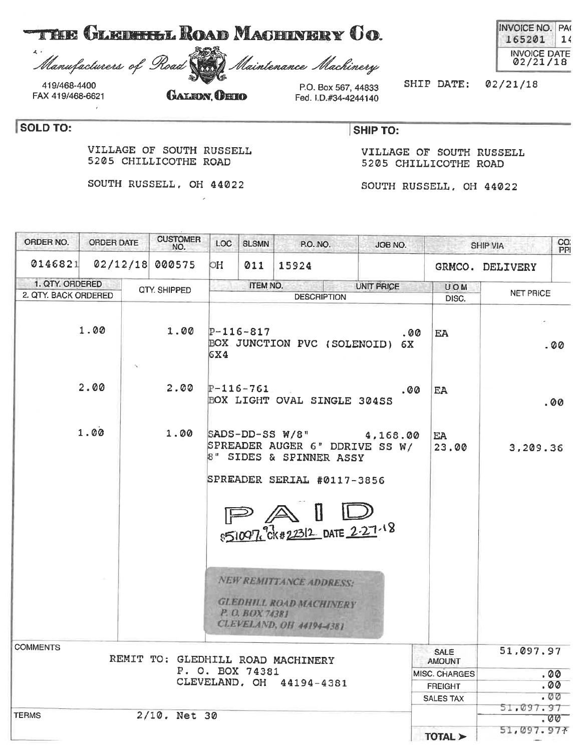| <b>THE GLEBELL ROAD MACHINERY CO.</b> |  |
|---------------------------------------|--|
|---------------------------------------|--|

 $\lambda$ Manufacturers of Road

 $\overline{\phantom{a}}$ 

419/468-4400 FAX 419/468-6621

SOLD TO:

## **GALEON OHIO**

VILLAGE OF SOUTH RUSSELL

SOUTH RUSSELL, OH 44022

5205 CHILLICOTHE ROAD

P.O. Box 567, 44833 Fed. I.D.#34-4244140

Maintenance Machinery

SHIP DATE:  $02/21/18$ 

**SHIP TO:** 

VILLAGE OF SOUTH RUSSELL 5205 CHILLICOTHE ROAD

SOUTH RUSSELL, OH 44022

| ORDER NO.            | ORDER DATE | <b>CUSTOMER</b><br>NO.            | LOC | <b>SLSMN</b>           | P.O. NO.                                                                                                     | JOB NO.           |                              | SHIP VIA         | CO.<br>PPI |
|----------------------|------------|-----------------------------------|-----|------------------------|--------------------------------------------------------------------------------------------------------------|-------------------|------------------------------|------------------|------------|
| 0146821              |            | 02/12/18 000575                   | OH  | 011                    | 15924                                                                                                        |                   |                              | GRMCO. DELIVERY  |            |
| 1. QTY. ORDERED      |            | QTY. SHIPPED                      |     | ITEM NO.               |                                                                                                              | <b>UNIT PRICE</b> | UOM                          |                  |            |
| 2. QTY. BACK ORDERED |            |                                   |     |                        | <b>DESCRIPTION</b>                                                                                           |                   | DISC.                        | <b>NET PRICE</b> |            |
|                      | 1.00       | 1.00                              | 6X4 | $P-116-817$            | BOX JUNCTION PVC (SOLENOID) 6X                                                                               | .00               | EA                           |                  | . 00       |
|                      | 2.00       | 2.00                              |     | $P-116-761$            | BOX LIGHT OVAL SINGLE 304SS                                                                                  | . 00              | EA                           |                  | .00        |
|                      | 1.00       | 1.00                              |     |                        | $SADS-DD-SS W/8"$<br>SPREADER AUGER 6" DDRIVE SS W/<br>8" SIDES & SPINNER ASSY<br>SPREADER SERIAL #0117-3856 | 4,168.00          | EA<br>23.00                  | 3,209.36         |            |
|                      |            |                                   |     | $\mathbb{P}\mathbb{A}$ | 851097 CK#22312 DATE 2-27-18                                                                                 |                   |                              |                  |            |
|                      |            |                                   |     | P. O. BOX 74381        | <b>NEW REMITTANCE ADDRESS:</b><br><b>GLEDHILL ROAD MACHINERY</b><br><b>CLEVELAND, OH 44194-4381</b>          |                   |                              |                  |            |
| COMMENTS             |            | REMIT TO: GLEDHILL ROAD MACHINERY |     |                        |                                                                                                              |                   | <b>SALE</b><br><b>AMOUNT</b> | 51,097.97        |            |
|                      |            |                                   |     | P. O. BOX 74381        |                                                                                                              |                   | MISC. CHARGES                |                  | .00        |
|                      |            |                                   |     |                        | CLEVELAND, OH 44194-4381                                                                                     |                   | <b>FREIGHT</b>               |                  | . 00       |
|                      |            |                                   |     |                        |                                                                                                              |                   | SALES TAX                    |                  | . 00       |
| <b>TERMS</b>         |            | 2/10. Net 30                      |     |                        |                                                                                                              |                   |                              | 51,097.97        |            |
|                      |            |                                   |     |                        |                                                                                                              |                   |                              |                  | .00        |
|                      |            |                                   |     |                        |                                                                                                              |                   | TOTAL >                      | 51,097.977       |            |

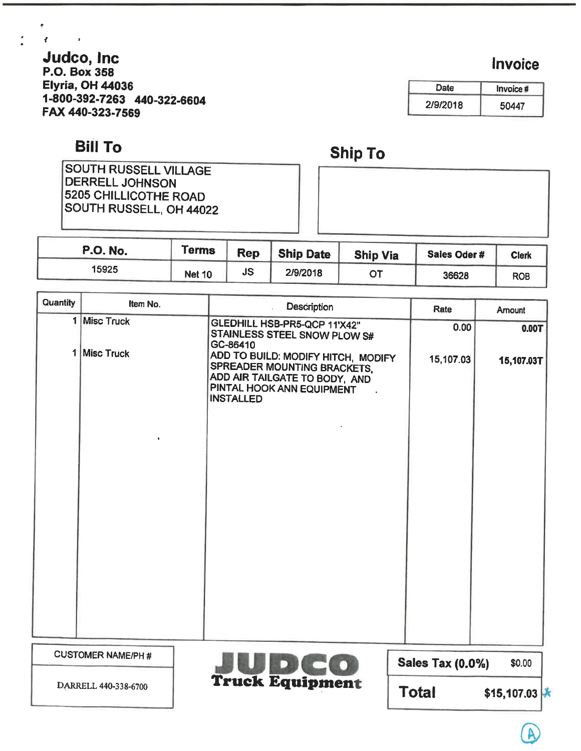Judco, Inc P.O. Box 358 Elyria, OH 44036 1-800-392-7263 440-322-6604 FAX 440-323-7569

## Bill To

 $\mathcal{E}^{\pm}$ 

 $\sim$ 

SOUTH RUSSELL VILLAGE DERRELL JOHNSON 5205 CHILLICOTHE ROAD SOUTH RUSSELL, OH 44022

| <b>P.O. No.</b> | <b>Terms</b>  | <b>Rep</b> | <b>Ship Date</b> | <b>Ship Via</b> | Sales Oder# | <b>Clerk</b> |
|-----------------|---------------|------------|------------------|-----------------|-------------|--------------|
| 15925           | <b>Net 10</b> | <b>JS</b>  | 2/9/2018         | OT              | 36628       | <b>ROB</b>   |

Ship To

| Quantity | Item No.                 | <b>Description</b>                                                                                                                                  | Rate             | Amount     |
|----------|--------------------------|-----------------------------------------------------------------------------------------------------------------------------------------------------|------------------|------------|
| 1        | <b>Misc Truck</b>        | GLEDHILL HSB-PR5-QCP 11'X42"<br>STAINLESS STEEL SNOW PLOW S#<br>GC-86410                                                                            | 0.00             | 0.00T      |
| 1        | <b>Misc Truck</b>        | ADD TO BUILD: MODIFY HITCH, MODIFY<br>SPREADER MOUNTING BRACKETS,<br>ADD AIR TAILGATE TO BODY, AND<br>PINTAL HOOK ANN EQUIPMENT<br><b>INSTALLED</b> | 15,107.03        | 15,107.03T |
|          | <b>CUSTOMER NAME/PH#</b> |                                                                                                                                                     | Sales Tay (0.0%) | \$0.00     |



Sales Tax  $(0.0\%)$   $$0.00$ 

 $Total$  \$15,107.03  $\star$ 

Date 2/9/2018 Invoice # 50447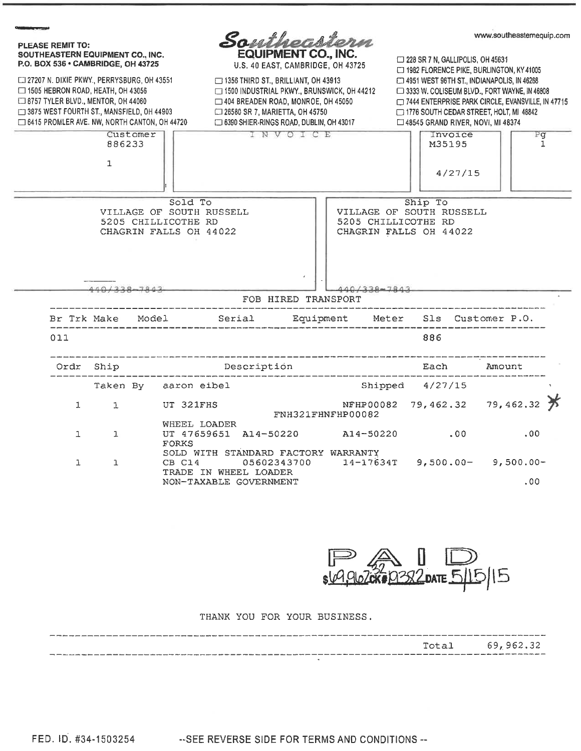



#### THANK YOU FOR YOUR BUSINESS.

|                                                                                                                                        | Total 69,962.32 |  |
|----------------------------------------------------------------------------------------------------------------------------------------|-----------------|--|
| THE REAL AND HOLD WAS COLUMN TO THE REAL PROPERTY OF THE WAY TO ANY FOR THE UNIT OF THE WAY TO THE REAL PROPERTY OF THE REAL PROPERTY. |                 |  |